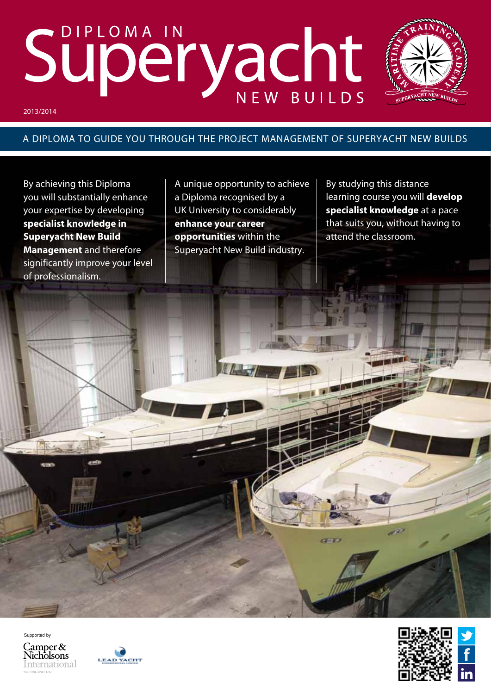# Superyacht



## A DIPLOMA TO GUIDE YOU THROUGH THE PROJECT MANAGEMENT OF SUPERYACHT NEW BUILDS

By achieving this Diploma you will substantially enhance your expertise by developing **specialist knowledge in Superyacht New Build Management** and therefore significantly improve your level of professionalism.

A unique opportunity to achieve a Diploma recognised by a UK University to considerably **enhance your career opportunities** within the Superyacht New Build industry.

By studying this distance learning course you will **develop specialist knowledge** at a pace that suits you, without having to attend the classroom.

Supported byCamper  $&$ **Nicholsons** 

International





**GENERA**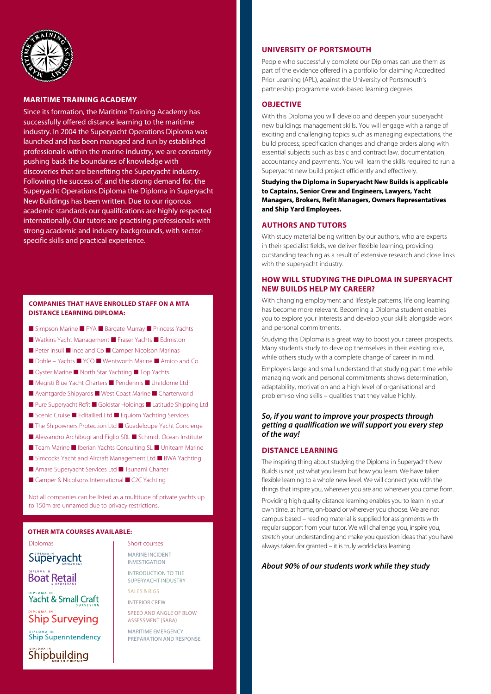

### **Maritime Training Academy**

Since its formation, the Maritime Training Academy has successfully offered distance learning to the maritime industry. In 2004 the Superyacht Operations Diploma was launched and has been managed and run by established professionals within the marine industry, we are constantly pushing back the boundaries of knowledge with discoveries that are benefiting the Superyacht industry. Following the success of, and the strong demand for, the Superyacht Operations Diploma the Diploma in Superyacht New Buildings has been written. Due to our rigorous academic standards our qualifications are highly respected internationally. Our tutors are practising professionals with strong academic and industry backgrounds, with sectorspecific skills and practical experience.

### **Companies that have enrolled staff on a MTA distance learning Diploma:**

- Simpson Marine PYA Bargate Murray Princess Yachts
- Watkins Yacht Management Fraser Yachts Edmiston
- Peter Insull Ince and Co Camper Nicolson Marinas
- Dohle Yachts YCO Wentworth Marine Amico and Co
- Oyster Marine North Star Yachting Top Yachts
- Megisti Blue Yacht Charters Pendennis Unitdome Ltd
- Avantgarde Shipyards West Coast Marine Charterworld
- Pure Superyacht Refit Goldstar Holdings Latitude Shipping Ltd
- Scenic Cruise Editallied Ltd Equiom Yachting Services
- The Shipowners Protection Ltd Guadeloupe Yacht Concierge
- Alessandro Archibugi and Figlio SRL Schmidt Ocean Institute
- Team Marine Iberian Yachts Consulting SL Uniteam Marine
- Simcocks Yacht and Aircraft Management Ltd BWA Yachting
- Amare Superyacht Services Ltd Tsunami Charter
- Camper & Nicolsons International C2C Yachting

Not all companies can be listed as a multitude of private yachts up to 150m are unnamed due to privacy restrictions.

### **OTHER MTA COURSES AVAilaBLE:**

Diplomas and Short courses Superyacht **Boat Retail** Yacht & Small Craft **Ship Surveying Ship Superintendency** Shipbuilding

Marine Incident Investigation introduction to the superyacht industry sales & rigs interior crew speed and angle of blow assessment (SABA) maritime emergency preparation and response

### **University of Portsmouth**

People who successfully complete our Diplomas can use them as part of the evidence offered in a portfolio for claiming Accredited Prior Learning (APL), against the University of Portsmouth's partnership programme work-based learning degrees.

### **Objective**

With this Diploma you will develop and deepen your superyacht new buildings management skills. You will engage with a range of exciting and challenging topics such as managing expectations, the build process, specification changes and change orders along with essential subjects such as basic and contract law, documentation, accountancy and payments. You will learn the skills required to run a Superyacht new build project efficiently and effectively.

**Studying the Diploma in Superyacht New Builds is applicable to Captains, Senior Crew and Engineers, Lawyers, Yacht Managers, Brokers, Refit Managers, Owners Representatives and Ship Yard Employees.**

### **Authors and Tutors**

With study material being written by our authors, who are experts in their specialist fields, we deliver flexible learning, providing outstanding teaching as a result of extensive research and close links with the superyacht industry.

### **HOW WILL STUDYING THE DIPLOMA IN SUPERYACHT NEW BUILDS HELP MY CAREER?**

With changing employment and lifestyle patterns, lifelong learning has become more relevant. Becoming a Diploma student enables you to explore your interests and develop your skills alongside work and personal commitments.

Studying this Diploma is a great way to boost your career prospects. Many students study to develop themselves in their existing role, while others study with a complete change of career in mind.

Employers large and small understand that studying part time while managing work and personal commitments shows determination, adaptability, motivation and a high level of organisational and problem-solving skills – qualities that they value highly.

### *So, if you want to improve your prospects through getting a qualification we will support you every step of the way!*

### **Distance learning**

The inspiring thing about studying the Diploma in Superyacht New Builds is not just what you learn but how you learn. We have taken flexible learning to a whole new level. We will connect you with the things that inspire you, wherever you are and wherever you come from.

Providing high quality distance learning enables you to learn in your own time, at home, on-board or wherever you choose. We are not campus based – reading material is supplied for assignments with regular support from your tutor. We will challenge you, inspire you, stretch your understanding and make you question ideas that you have always taken for granted – it is truly world-class learning.

### *About 90% of our students work while they study*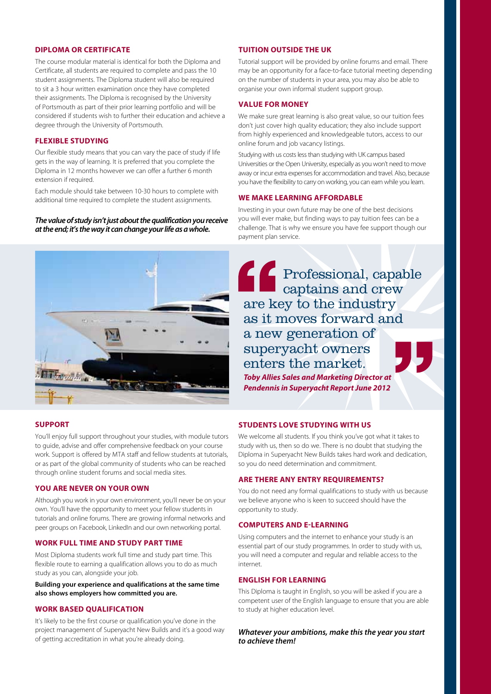### **Diploma or Certificate**

The course modular material is identical for both the Diploma and Certificate, all students are required to complete and pass the 10 student assignments. The Diploma student will also be required to sit a 3 hour written examination once they have completed their assignments. The Diploma is recognised by the University of Portsmouth as part of their prior learning portfolio and will be considered if students wish to further their education and achieve a degree through the University of Portsmouth.

### **Flexible studying**

Our flexible study means that you can vary the pace of study if life gets in the way of learning. It is preferred that you complete the Diploma in 12 months however we can offer a further 6 month extension if required.

Each module should take between 10-30 hours to complete with additional time required to complete the student assignments.

### *The value of study isn't just about the qualification you receive at the end; it's the way it can change your life as a whole.*



### **Support**

You'll enjoy full support throughout your studies, with module tutors to guide, advise and offer comprehensive feedback on your course work. Support is offered by MTA staff and fellow students at tutorials, or as part of the global community of students who can be reached through online student forums and social media sites.

### **You are never on your own**

Although you work in your own environment, you'll never be on your own. You'll have the opportunity to meet your fellow students in tutorials and online forums. There are growing informal networks and peer groups on Facebook, LinkedIn and our own networking portal.

### **Work full time and study part time**

Most Diploma students work full time and study part time. This flexible route to earning a qualification allows you to do as much study as you can, alongside your job.

**Building your experience and qualifications at the same time also shows employers how committed you are.**

### **Work based qualification**

It's likely to be the first course or qualification you've done in the project management of Superyacht New Builds and it's a good way of getting accreditation in what you're already doing.

### **Tuition outside the UK**

Tutorial support will be provided by online forums and email. There may be an opportunity for a face-to-face tutorial meeting depending on the number of students in your area, you may also be able to organise your own informal student support group.

### **Value for money**

We make sure great learning is also great value, so our tuition fees don't just cover high quality education; they also include support from highly experienced and knowledgeable tutors, access to our online forum and job vacancy listings.

Studying with us costs less than studying with UK campus based Universities or the Open University, especially as you won't need to move away or incur extra expenses for accommodation and travel. Also, because you have the flexibility to carry on working, you can earn while you learn.

### **We make learning affordable**

Investing in your own future may be one of the best decisions you will ever make, but finding ways to pay tuition fees can be a challenge. That is why we ensure you have fee support though our payment plan service.

Professional, capable captains and crew are key to the industry as it moves forward and a new generation of superyacht owners enters the market. *Toby Allies Sales and Marketing Director at Pendennis in Superyacht Report June 2012*

### **Students love studying with us**

We welcome all students. If you think you've got what it takes to study with us, then so do we. There is no doubt that studying the Diploma in Superyacht New Builds takes hard work and dedication, so you do need determination and commitment.

### **Are there any entry requirements?**

You do not need any formal qualifications to study with us because we believe anyone who is keen to succeed should have the opportunity to study.

### **Computers and E-Learning**

Using computers and the internet to enhance your study is an essential part of our study programmes. In order to study with us, you will need a computer and regular and reliable access to the internet.

### **English for learning**

This Diploma is taught in English, so you will be asked if you are a competent user of the English language to ensure that you are able to study at higher education level.

### *Whatever your ambitions, make this the year you start to achieve them!*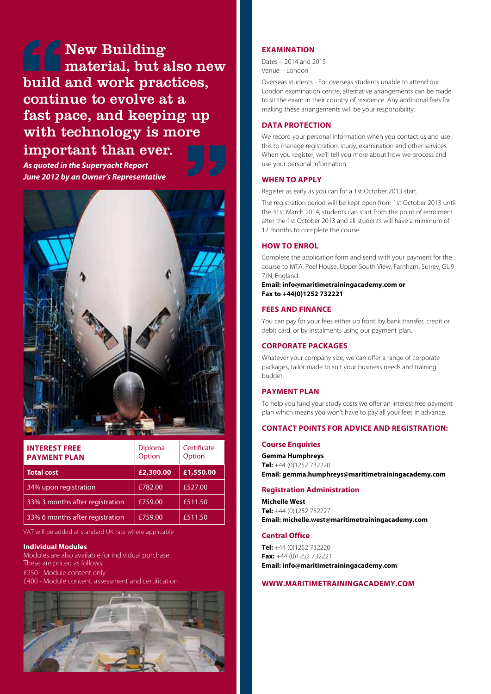New Building material, but also new build and work practices, continue to evolve at a fast pace, and keeping up with technology is more

# important than ever.

*As quoted in the Superyacht Report June 2012 by an Owner's Representative*



| <b>INTEREST FREE</b><br><b>PAYMENT PLAN</b> | Diploma<br>Option | Certificate<br>Option |
|---------------------------------------------|-------------------|-----------------------|
| <b>Total cost</b>                           | £2,300.00         | £1,550.00             |
| 34% upon registration                       | £782.00           | £527.00               |
| 33% 3 months after registration             | £759.00           | £511.50               |
| 33% 6 months after registration             | £759.00           | £511.50               |

VAT will be added at standard UK rate where applicable

### **Individual Modules**

Modules are also available for individual purchase. These are priced as follows: £250 - Module content only £400 - Module content, assessment and certification



### **Examination**

Dates – 2014 and 2015 Venue – London

Overseas students - For overseas students unable to attend our London examination centre, alternative arrangements can be made to sit the exam in their country of residence. Any additional fees for making these arrangements will be your responsibility.

### **DATA PROTECTION**

We record your personal information when you contact us and use this to manage registration, study, examination and other services. When you register, we'll tell you more about how we process and use your personal information.

### **When to apply**

Register as early as you can for a 1st October 2013 start.

The registration period will be kept open from 1st October 2013 until the 31st March 2014, students can start from the point of enrolment after the 1st October 2013 and all students will have a minimum of 12 months to complete the course.

### **How to Enrol**

Complete the application form and send with your payment for the course to MTA, Peel House, Upper South View, Farnham, Surrey, GU9 7JN, England.

**Email: info@maritimetrainingacademy.com or Fax to +44(0)1252 732221**

### **Fees and Finance**

You can pay for your fees either up front, by bank transfer, credit or debit card, or by instalments using our payment plan.

### **CORPORATE PACKAGES**

Whatever your company size, we can offer a range of corporate packages, tailor made to suit your business needs and training budget.

### **Payment plan**

To help you fund your study costs we offer an interest free payment plan which means you won't have to pay all your fees in advance.

### **Contact points for advice and registration:**

### **Course Enquiries**

**Gemma Humphreys Tel:** +44 (0)1252 732220 **Email: gemma.humphreys@maritimetrainingacademy.com**

### **Registration Administration**

**Michelle West Tel:** +44 (0)1252 732227 **Email: michelle.west@maritimetrainingacademy.com**

### **Central Office**

**Tel:** +44 (0)1252 732220 **Fax:** +44 (0)1252 732221 **Email: info@maritimetrainingacademy.com**

### **www.maritimetrainingacademy.com**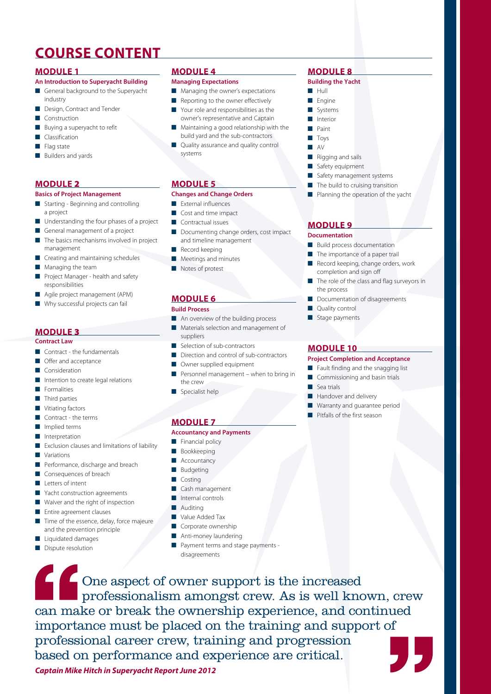# **COURSE CONTENT**

### **module 1**

### **An Introduction to Superyacht Building**

- General background to the Superyacht industry
- Design, Contract and Tender
- Construction
- Buying a superyacht to refit
- Classification
- Flag state
- Builders and yards

### **module** 2

### **Basics of Project Management**

- Starting Beginning and controlling a project
- Understanding the four phases of a project
- General management of a project
- The basics mechanisms involved in project management
- Creating and maintaining schedules
- Managing the team
- Project Manager health and safety responsibilities
- Agile project management (APM)
- Why successful projects can fail

### **module** 3

### **Contract Law**

- Contract the fundamentals
- Offer and acceptance
- Consideration
- Intention to create legal relations
- **E** Formalities
- Third parties
- Vitiating factors
- Contract the terms
- Implied terms
- Interpretation
- Exclusion clauses and limitations of liability
- Variations
- Performance, discharge and breach
- Consequences of breach
- Letters of intent
- Yacht construction agreements
- Waiver and the right of inspection
- Entire agreement clauses
- Time of the essence, delay, force majeure and the prevention principle

*Captain Mike Hitch in Superyacht Report June 2012*

- Liquidated damages
- Dispute resolution

## **module 4**

### **Managing Expectations**

- Managing the owner's expectations
- Reporting to the owner effectively
- Your role and responsibilities as the owner's representative and Captain
- Maintaining a good relationship with the build yard and the sub-contractors
- Quality assurance and quality control systems

### **module 5**

### **Changes and Change Orders**

- External influences
- Cost and time impact
- Contractual issues
- Documenting change orders, cost impact and timeline management
- Record keeping
- Meetings and minutes
- Notes of protest

### **module 6**

### **Build Process**

- An overview of the building process
- Materials selection and management of suppliers
- Selection of sub-contractors
- Direction and control of sub-contractors
- Owner supplied equipment
- Personnel management when to bring in the crew
- Specialist help

### **module 7**

### **Accountancy and Payments**

- Financial policy
- **Bookkeeping**
- Accountancy
- **Budgeting**
- **Costing**

### Cash management

- Internal controls
- **Auditing**
- Value Added Tax
- Corporate ownership
- Anti-money laundering
- Payment terms and stage payments disagreements

One aspect of owner support is the increased professionalism amongst crew. As is well known, crew can make or break the ownership experience, and continued importance must be placed on the training and support of professional career crew, training and progression based on performance and experience are critical.

## **module 8**

### **Building the Yacht**

- Hull
- Engine
- Systems
- Interior
- Paint ■ Toys
- AV
- Rigging and sails
- Safety equipment
- Safety management systems
- The build to cruising transition
- Planning the operation of the yacht

### **module 9**

### **Documentation**

the process

Quality control ■ Stage payments

**module 10**

■ Sea trials

**Build process documentation** The importance of a paper trail

completion and sign off

Record keeping, change orders, work

Documentation of disagreements

**Project Completion and Acceptance**  Fault finding and the snagging list Commissioning and basin trials

Handover and delivery Warranty and guarantee period Pitfalls of the first season

The role of the class and flag surveyors in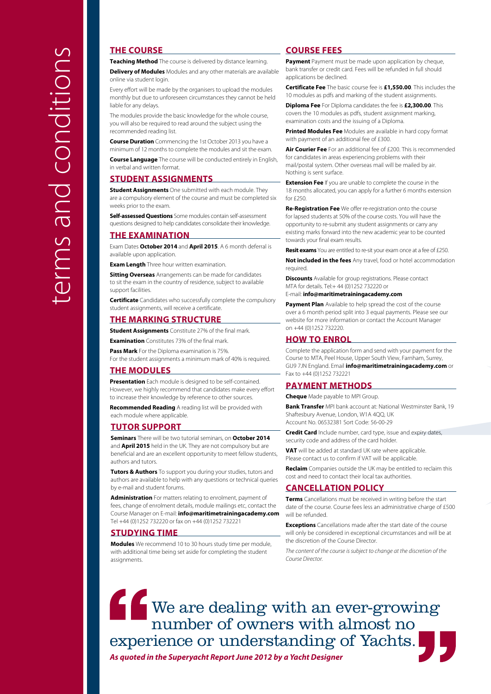### **THE COURSE**

**Teaching Method** The course is delivered by distance learning.

**Delivery of Modules** Modules and any other materials are available online via student login.

Every effort will be made by the organisers to upload the modules monthly but due to unforeseen circumstances they cannot be held liable for any delays.

The modules provide the basic knowledge for the whole course, you will also be required to read around the subject using the recommended reading list.

**Course Duration** Commencing the 1st October 2013 you have a minimum of 12 months to complete the modules and sit the exam.

**Course Language** The course will be conducted entirely in English, in verbal and written format.

### **STUDENT ASSIGNMENTS**

**Student Assignments** One submitted with each module. They are a compulsory element of the course and must be completed six weeks prior to the exam.

**Self-assessed Questions** Some modules contain self-assessment questions designed to help candidates consolidate their knowledge.

### **THE EXAMINATION**

Exam Dates **October 2014** and **April 2015**. A 6 month deferral is available upon application.

**Exam Length** Three hour written examination.

**Sitting Overseas** Arrangements can be made for candidates to sit the exam in the country of residence, subject to available support facilities.

**Certificate** Candidates who successfully complete the compulsory student assignments, will receive a certificate.

### **THE MARKING STRUCTURE**

**Student Assignments** Constitute 27% of the final mark.

**Examination** Constitutes 73% of the final mark

**Pass Mark** For the Diploma examination is 75%. For the student assignments a minimum mark of 40% is required.

### **The Modules**

**Presentation** Each module is designed to be self-contained. However, we highly recommend that candidates make every effort to increase their knowledge by reference to other sources.

**Recommended Reading** A reading list will be provided with each module where applicable.

### **TUTOR SUPPORT**

**Seminars** There will be two tutorial seminars, on **October 2014** and **April 2015** held in the UK. They are not compulsory but are beneficial and are an excellent opportunity to meet fellow students, authors and tutors.

**Tutors & Authors** To support you during your studies, tutors and authors are available to help with any questions or technical queries by e-mail and student forums.

**Administration** For matters relating to enrolment, payment of fees, change of enrolment details, module mailings etc, contact the Course Manager on E-mail: **info@maritimetrainingacademy.com**  Tel +44 (0)1252 732220 or fax on +44 (0)1252 732221

### **STUDYING TIME**

**Modules** We recommend 10 to 30 hours study time per module, with additional time being set aside for completing the student assignments.

### **COURSE FEES**

**Payment** Payment must be made upon application by cheque, bank transfer or credit card. Fees will be refunded in full should applications be declined.

**Certificate Fee** The basic course fee is **£1,550.00**. This includes the 10 modules as pdfs and marking of the student assignments.

**Diploma Fee** For Diploma candidates the fee is **£2,300.00**. This covers the 10 modules as pdfs, student assignment marking, examination costs and the issuing of a Diploma.

**Printed Modules Fee** Modules are available in hard copy format with payment of an additional fee of £300.

**Air Courier Fee** For an additional fee of £200. This is recommended for candidates in areas experiencing problems with their mail/postal system. Other overseas mail will be mailed by air. Nothing is sent surface.

**Extension Fee** If you are unable to complete the course in the 18 months allocated, you can apply for a further 6 months extension for £250.

**Re-Registration Fee** We offer re-registration onto the course for lapsed students at 50% of the course costs. You will have the opportunity to re-submit any student assignments or carry any existing marks forward into the new academic year to be counted towards your final exam results.

**Resit exams** You are entitled to re-sit your exam once at a fee of £250.

**Not included in the fees** Any travel, food or hotel accommodation required.

**Discounts** Available for group registrations. Please contact MTA for details. Tel:+ 44 (0)1252 732220 or

E-mail: **info@maritimetrainingacademy.com**

**Payment Plan** Available to help spread the cost of the course over a 6 month period split into 3 equal payments. Please see our website for more information or contact the Account Manager on +44 (0)1252 732220.

### **How to Enrol**

Complete the application form and send with your payment for the Course to MTA, Peel House, Upper South View, Farnham, Surrey, GU9 7JN England. Email **info@maritimetrainingacademy.com** or Fax to +44 (0)1252 732221

### **PAYMENT METHODS**

**Cheque** Made payable to MPI Group.

**Bank Transfer** MPI bank account at: National Westminster Bank, 19 Shaftesbury Avenue, London, W1A 4QQ, UK Account No. 06532381 Sort Code: 56-00-29

**Credit Card** Include number, card type, issue and expiry dates, security code and address of the card holder.

**VAT** will be added at standard UK rate where applicable. Please contact us to confirm if VAT will be applicable.

**Reclaim** Companies outside the UK may be entitled to reclaim this cost and need to contact their local tax authorities.

### **CANCELLATION POLICY**

**Terms** Cancellations must be received in writing before the start date of the course. Course fees less an administrative charge of £500 will be refunded.

**Exceptions** Cancellations made after the start date of the course will only be considered in exceptional circumstances and will be at the discretion of the Course Director.

*The content of the course is subject to change at the discretion of the Course Director.*

We are dealing with an ever-growing number of owners with almost no experience or understanding of Yachts. *As quoted in the Superyacht Report June 2012 by a Yacht Designer*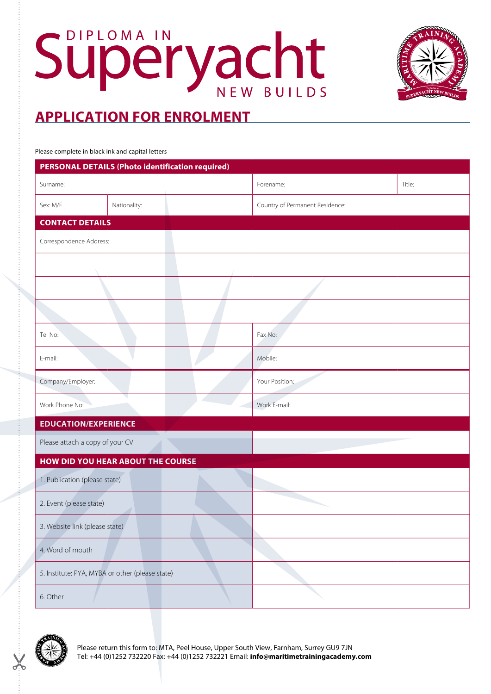



Please complete in black ink and capital letters

| <b>PERSONAL DETAILS (Photo identification required)</b> |                        |           |                                 |  |  |  |  |
|---------------------------------------------------------|------------------------|-----------|---------------------------------|--|--|--|--|
| Surname:                                                |                        | Forename: | Title:                          |  |  |  |  |
| Sex: M/F                                                | Nationality:           |           | Country of Permanent Residence: |  |  |  |  |
|                                                         | <b>CONTACT DETAILS</b> |           |                                 |  |  |  |  |
| Correspondence Address:                                 |                        |           |                                 |  |  |  |  |
|                                                         |                        |           |                                 |  |  |  |  |
|                                                         |                        |           |                                 |  |  |  |  |
|                                                         |                        |           |                                 |  |  |  |  |
| Tel No:                                                 |                        |           | Fax No:                         |  |  |  |  |
| E-mail:                                                 |                        |           | Mobile:                         |  |  |  |  |
| Company/Employer:                                       |                        |           | Your Position:                  |  |  |  |  |
| Work Phone No:                                          |                        |           | Work E-mail:                    |  |  |  |  |
| <b>EDUCATION/EXPERIENCE</b>                             |                        |           |                                 |  |  |  |  |
| Please attach a copy of your CV                         |                        |           |                                 |  |  |  |  |
| HOW DID YOU HEAR ABOUT THE COURSE                       |                        |           |                                 |  |  |  |  |
| 1. Publication (please state)                           |                        |           |                                 |  |  |  |  |
| 2. Event (please state)                                 |                        |           |                                 |  |  |  |  |
| 3. Website link (please state)                          |                        |           |                                 |  |  |  |  |
| 4. Word of mouth                                        |                        |           |                                 |  |  |  |  |
| 5. Institute: PYA, MYBA or other (please state)         |                        |           |                                 |  |  |  |  |
| 6. Other                                                |                        |           |                                 |  |  |  |  |